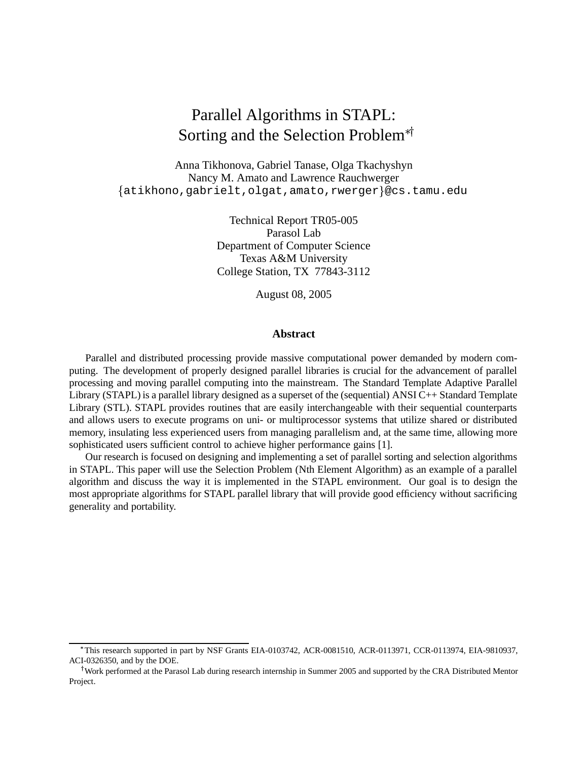# Parallel Algorithms in STAPL: Sorting and the Selection Problem $*$

Anna Tikhonova, Gabriel Tanase, Olga Tkachyshyn Nancy M. Amato and Lawrence Rauchwerger  $\{\texttt{atikhono},\texttt{gabrielt},\texttt{olgat},\texttt{amato},\texttt{rwerger}\}$ @cs.tamu.edu

> Technical Report TR05-005 Parasol Lab Department of Computer Science Texas A&M University College Station, TX 77843-3112

> > August 08, 2005

#### **Abstract**

Parallel and distributed processing provide massive computational power demanded by modern computing. The development of properly designed parallel libraries is crucial for the advancement of parallel processing and moving parallel computing into the mainstream. The Standard Template Adaptive Parallel Library (STAPL) is a parallel library designed as a superset of the (sequential) ANSI C++ Standard Template Library (STL). STAPL provides routines that are easily interchangeable with their sequential counterparts and allows users to execute programs on uni- or multiprocessor systems that utilize shared or distributed memory, insulating less experienced users from managing parallelism and, at the same time, allowing more sophisticated users sufficient control to achieve higher performance gains [1].

Our research is focused on designing and implementing a set of parallel sorting and selection algorithms in STAPL. This paper will use the Selection Problem (Nth Element Algorithm) as an example of a parallel algorithm and discuss the way it is implemented in the STAPL environment. Our goal is to design the most appropriate algorithms for STAPL parallel library that will provide good efficiency without sacrificing generality and portability.

This research supported in part by NSF Grants EIA-0103742, ACR-0081510, ACR-0113971, CCR-0113974, EIA-9810937, ACI-0326350, and by the DOE.

<sup>&</sup>lt;sup>†</sup>Work performed at the Parasol Lab during research internship in Summer 2005 and supported by the CRA Distributed Mentor Project.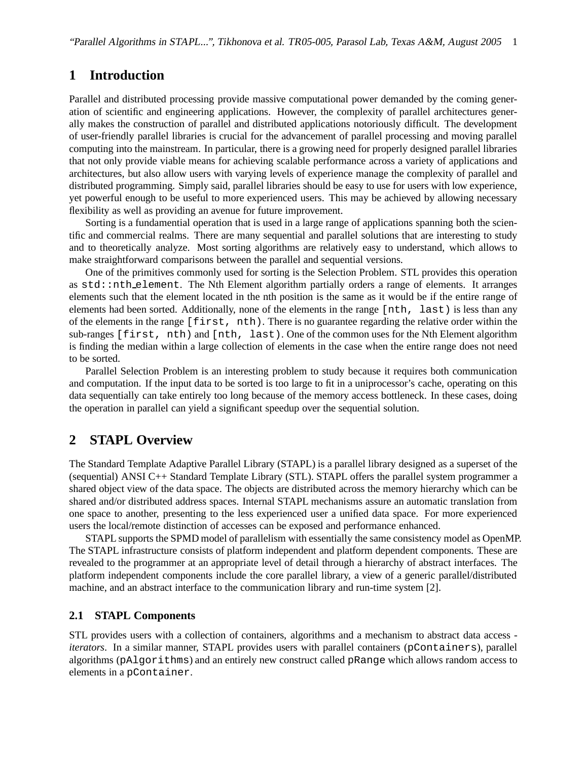## **1 Introduction**

Parallel and distributed processing provide massive computational power demanded by the coming generation of scientific and engineering applications. However, the complexity of parallel architectures generally makes the construction of parallel and distributed applications notoriously difficult. The development of user-friendly parallel libraries is crucial for the advancement of parallel processing and moving parallel computing into the mainstream. In particular, there is a growing need for properly designed parallel libraries that not only provide viable means for achieving scalable performance across a variety of applications and architectures, but also allow users with varying levels of experience manage the complexity of parallel and distributed programming. Simply said, parallel libraries should be easy to use for users with low experience, yet powerful enough to be useful to more experienced users. This may be achieved by allowing necessary flexibility as well as providing an avenue for future improvement.

Sorting is a fundamential operation that is used in a large range of applications spanning both the scientific and commercial realms. There are many sequential and parallel solutions that are interesting to study and to theoretically analyze. Most sorting algorithms are relatively easy to understand, which allows to make straightforward comparisons between the parallel and sequential versions.

One of the primitives commonly used for sorting is the Selection Problem. STL provides this operation as std::nth element. The Nth Element algorithm partially orders a range of elements. It arranges elements such that the element located in the nth position is the same as it would be if the entire range of elements had been sorted. Additionally, none of the elements in the range [nth, last) is less than any of the elements in the range [first, nth). There is no guarantee regarding the relative order within the sub-ranges [first, nth) and [nth, last). One of the common uses for the Nth Element algorithm is finding the median within a large collection of elements in the case when the entire range does not need to be sorted.

Parallel Selection Problem is an interesting problem to study because it requires both communication and computation. If the input data to be sorted is too large to fit in a uniprocessor's cache, operating on this data sequentially can take entirely too long because of the memory access bottleneck. In these cases, doing the operation in parallel can yield a significant speedup over the sequential solution.

# **2 STAPL Overview**

The Standard Template Adaptive Parallel Library (STAPL) is a parallel library designed as a superset of the (sequential) ANSI C++ Standard Template Library (STL). STAPL offers the parallel system programmer a shared object view of the data space. The objects are distributed across the memory hierarchy which can be shared and/or distributed address spaces. Internal STAPL mechanisms assure an automatic translation from one space to another, presenting to the less experienced user a unified data space. For more experienced users the local/remote distinction of accesses can be exposed and performance enhanced.

STAPL supports the SPMD model of parallelism with essentially the same consistency model as OpenMP. The STAPL infrastructure consists of platform independent and platform dependent components. These are revealed to the programmer at an appropriate level of detail through a hierarchy of abstract interfaces. The platform independent components include the core parallel library, a view of a generic parallel/distributed machine, and an abstract interface to the communication library and run-time system [2].

### **2.1 STAPL Components**

STL provides users with a collection of containers, algorithms and a mechanism to abstract data access *iterators*. In a similar manner, STAPL provides users with parallel containers (pContainers), parallel algorithms (pAlgorithms) and an entirely new construct called pRange which allows random access to elements in a pContainer.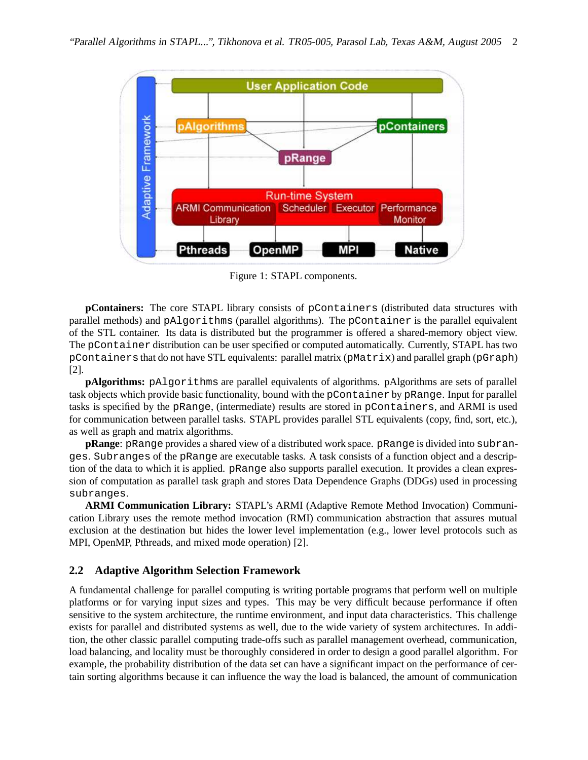

Figure 1: STAPL components.

**pContainers:** The core STAPL library consists of pContainers (distributed data structures with parallel methods) and pAlgorithms (parallel algorithms). The pContainer is the parallel equivalent of the STL container. Its data is distributed but the programmer is offered a shared-memory object view. The pContainer distribution can be user specified or computed automatically. Currently, STAPL has two pContainersthat do not have STL equivalents: parallel matrix (pMatrix) and parallel graph (pGraph) [2].

**pAlgorithms:** pAlgorithms are parallel equivalents of algorithms. pAlgorithms are sets of parallel task objects which provide basic functionality, bound with the pContainer by pRange. Input for parallel tasks is specified by the pRange, (intermediate) results are stored in pContainers, and ARMI is used for communication between parallel tasks. STAPL provides parallel STL equivalents (copy, find, sort, etc.), as well as graph and matrix algorithms.

**pRange**: pRange provides a shared view of a distributed work space. pRange is divided into subranges. Subranges of the pRange are executable tasks. A task consists of a function object and a description of the data to which it is applied. pRange also supports parallel execution. It provides a clean expression of computation as parallel task graph and stores Data Dependence Graphs (DDGs) used in processing subranges.

**ARMI Communication Library:** STAPL's ARMI (Adaptive Remote Method Invocation) Communication Library uses the remote method invocation (RMI) communication abstraction that assures mutual exclusion at the destination but hides the lower level implementation (e.g., lower level protocols such as MPI, OpenMP, Pthreads, and mixed mode operation) [2].

### **2.2 Adaptive Algorithm Selection Framework**

A fundamental challenge for parallel computing is writing portable programs that perform well on multiple platforms or for varying input sizes and types. This may be very difficult because performance if often sensitive to the system architecture, the runtime environment, and input data characteristics. This challenge exists for parallel and distributed systems as well, due to the wide variety of system architectures. In addition, the other classic parallel computing trade-offs such as parallel management overhead, communication, load balancing, and locality must be thoroughly considered in order to design a good parallel algorithm. For example, the probability distribution of the data set can have a significant impact on the performance of certain sorting algorithms because it can influence the way the load is balanced, the amount of communication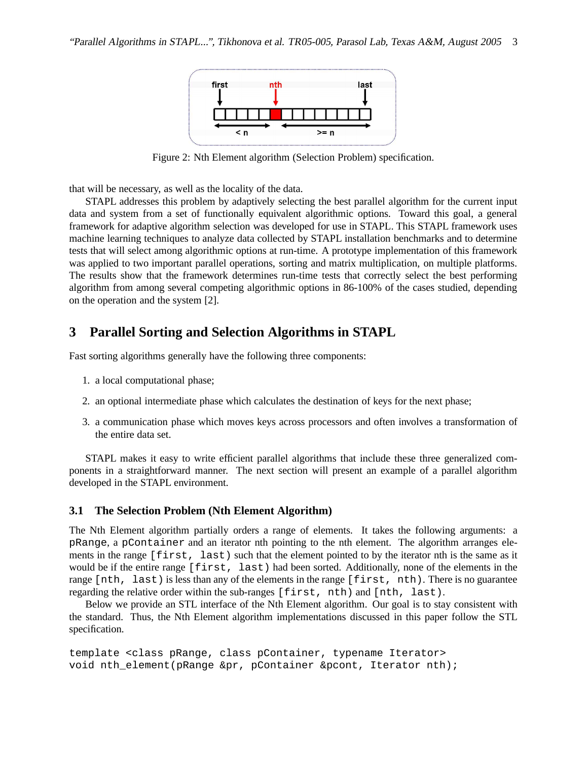

Figure 2: Nth Element algorithm (Selection Problem) specification.

that will be necessary, as well as the locality of the data.

STAPL addresses this problem by adaptively selecting the best parallel algorithm for the current input data and system from a set of functionally equivalent algorithmic options. Toward this goal, a general framework for adaptive algorithm selection was developed for use in STAPL. This STAPL framework uses machine learning techniques to analyze data collected by STAPL installation benchmarks and to determine tests that will select among algorithmic options at run-time. A prototype implementation of this framework was applied to two important parallel operations, sorting and matrix multiplication, on multiple platforms. The results show that the framework determines run-time tests that correctly select the best performing algorithm from among several competing algorithmic options in 86-100% of the cases studied, depending on the operation and the system [2].

## **3 Parallel Sorting and Selection Algorithms in STAPL**

Fast sorting algorithms generally have the following three components:

- 1. a local computational phase;
- 2. an optional intermediate phase which calculates the destination of keys for the next phase;
- 3. a communication phase which moves keys across processors and often involves a transformation of the entire data set.

STAPL makes it easy to write efficient parallel algorithms that include these three generalized components in a straightforward manner. The next section will present an example of a parallel algorithm developed in the STAPL environment.

#### **3.1 The Selection Problem (Nth Element Algorithm)**

The Nth Element algorithm partially orders a range of elements. It takes the following arguments: a pRange, a pContainer and an iterator nth pointing to the nth element. The algorithm arranges elements in the range [first, last) such that the element pointed to by the iterator nth is the same as it would be if the entire range [first, last) had been sorted. Additionally, none of the elements in the range [nth, last) is less than any of the elements in the range [first, nth). There is no guarantee regarding the relative order within the sub-ranges [first, nth) and [nth, last).

Below we provide an STL interface of the Nth Element algorithm. Our goal is to stay consistent with the standard. Thus, the Nth Element algorithm implementations discussed in this paper follow the STL specification.

```
template <class pRange, class pContainer, typename Iterator>
void nth_element(pRange &pr, pContainer &pcont, Iterator nth);
```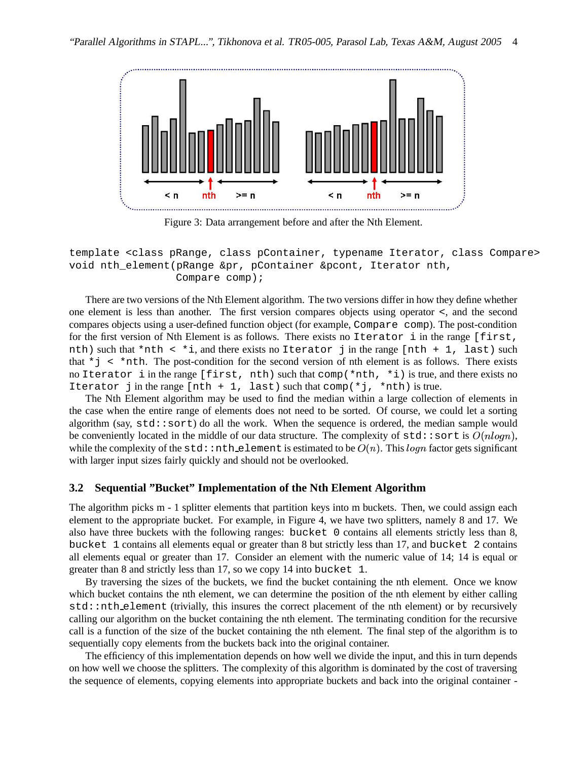

Figure 3: Data arrangement before and after the Nth Element.

template <class pRange, class pContainer, typename Iterator, class Compare> void nth element(pRange &pr, pContainer &pcont, Iterator nth, Compare comp);

There are two versions of the Nth Element algorithm. The two versions differ in how they define whether one element is less than another. The first version compares objects using operator <, and the second compares objects using a user-defined function object (for example, Compare comp). The post-condition for the first version of Nth Element is as follows. There exists no Iterator i in the range [first, nth) such that \*nth < \*i, and there exists no Iterator j in the range [nth + 1, last) such that  $*$   $\uparrow$  <  $*$ nth. The post-condition for the second version of nth element is as follows. There exists no Iterator i in the range [first, nth) such that  $comp(*nth, *i)$  is true, and there exists no Iterator j in the range [nth + 1, last) such that  $comp(*j, *nth)$  is true.

The Nth Element algorithm may be used to find the median within a large collection of elements in the case when the entire range of elements does not need to be sorted. Of course, we could let a sorting algorithm (say,  $std::sort$ ) do all the work. When the sequence is ordered, the median sample would be conveniently located in the middle of our data structure. The complexity of  $\text{std} : \text{sort}$  is  $O(nlogn)$ , while the complexity of the  $\texttt{std}:\texttt{nth}\texttt{.element}$  is estimated to be  $O(n).$  This  $\emph{logn}$  factor gets significant with larger input sizes fairly quickly and should not be overlooked.

#### **3.2 Sequential "Bucket" Implementation of the Nth Element Algorithm**

The algorithm picks m - 1 splitter elements that partition keys into m buckets. Then, we could assign each element to the appropriate bucket. For example, in Figure 4, we have two splitters, namely 8 and 17. We also have three buckets with the following ranges: bucket 0 contains all elements strictly less than 8, bucket 1 contains all elements equal or greater than 8 but strictly less than 17, and bucket 2 contains all elements equal or greater than 17. Consider an element with the numeric value of 14; 14 is equal or greater than 8 and strictly less than 17, so we copy 14 into bucket 1.

By traversing the sizes of the buckets, we find the bucket containing the nth element. Once we know which bucket contains the nth element, we can determine the position of the nth element by either calling std::nth element (trivially, this insures the correct placement of the nth element) or by recursively calling our algorithm on the bucket containing the nth element. The terminating condition for the recursive call is a function of the size of the bucket containing the nth element. The final step of the algorithm is to sequentially copy elements from the buckets back into the original container.

The efficiency of this implementation depends on how well we divide the input, and this in turn depends on how well we choose the splitters. The complexity of this algorithm is dominated by the cost of traversing the sequence of elements, copying elements into appropriate buckets and back into the original container -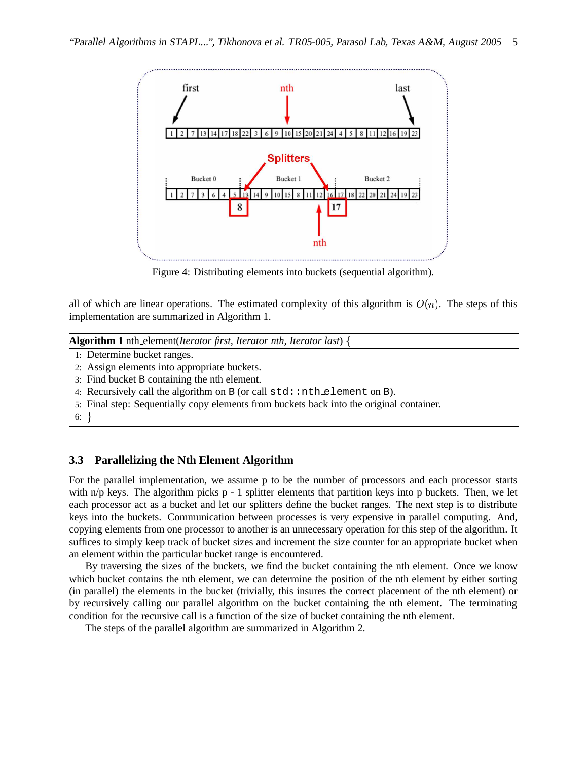

Figure 4: Distributing elements into buckets (sequential algorithm).

all of which are linear operations. The estimated complexity of this algorithm is  $O(n)$ . The steps of this implementation are summarized in Algorithm 1.

**Algorithm 1** nth element(*Iterator first, Iterator nth, Iterator last*)

- 1: Determine bucket ranges.
- 2: Assign elements into appropriate buckets.
- 3: Find bucket B containing the nth element.
- 4: Recursively call the algorithm on  $B$  (or call  $std:$ nth element on  $B$ ).
- 5: Final step: Sequentially copy elements from buckets back into the original container.
- 6:  $\}$

### **3.3 Parallelizing the Nth Element Algorithm**

For the parallel implementation, we assume p to be the number of processors and each processor starts with  $n/p$  keys. The algorithm picks p - 1 splitter elements that partition keys into p buckets. Then, we let each processor act as a bucket and let our splitters define the bucket ranges. The next step is to distribute keys into the buckets. Communication between processes is very expensive in parallel computing. And, copying elements from one processor to another is an unnecessary operation for this step of the algorithm. It suffices to simply keep track of bucket sizes and increment the size counter for an appropriate bucket when an element within the particular bucket range is encountered.

By traversing the sizes of the buckets, we find the bucket containing the nth element. Once we know which bucket contains the nth element, we can determine the position of the nth element by either sorting (in parallel) the elements in the bucket (trivially, this insures the correct placement of the nth element) or by recursively calling our parallel algorithm on the bucket containing the nth element. The terminating condition for the recursive call is a function of the size of bucket containing the nth element.

The steps of the parallel algorithm are summarized in Algorithm 2.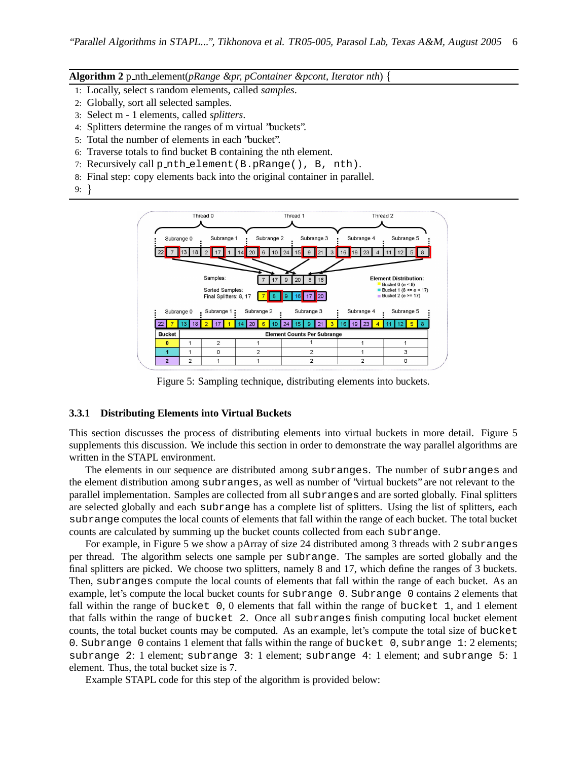#### **Algorithm 2** p nth element(*pRange &pr, pContainer &pcont, Iterator nth*)

- 1: Locally, select s random elements, called *samples*.
- 2: Globally, sort all selected samples.
- 3: Select m 1 elements, called *splitters*.
- 4: Splitters determine the ranges of m virtual "buckets".
- 5: Total the number of elements in each "bucket".
- 6: Traverse totals to find bucket B containing the nth element.
- 7: Recursively call p nth element(B.pRange(), B, nth).
- 8: Final step: copy elements back into the original container in parallel.
- 9:



Figure 5: Sampling technique, distributing elements into buckets.

#### **3.3.1 Distributing Elements into Virtual Buckets**

This section discusses the process of distributing elements into virtual buckets in more detail. Figure 5 supplements this discussion. We include this section in order to demonstrate the way parallel algorithms are written in the STAPL environment.

The elements in our sequence are distributed among subranges. The number of subranges and the element distribution among subranges, as well as number of "virtual buckets" are not relevant to the parallel implementation. Samples are collected from all subranges and are sorted globally. Final splitters are selected globally and each subrange has a complete list of splitters. Using the list of splitters, each subrange computes the local counts of elements that fall within the range of each bucket. The total bucket counts are calculated by summing up the bucket counts collected from each subrange.

For example, in Figure 5 we show a pArray of size 24 distributed among 3 threads with 2 subranges per thread. The algorithm selects one sample per subrange. The samples are sorted globally and the final splitters are picked. We choose two splitters, namely 8 and 17, which define the ranges of 3 buckets. Then, subranges compute the local counts of elements that fall within the range of each bucket. As an example, let's compute the local bucket counts for subrange 0. Subrange 0 contains 2 elements that fall within the range of bucket 0, 0 elements that fall within the range of bucket 1, and 1 element that falls within the range of bucket 2. Once all subranges finish computing local bucket element counts, the total bucket counts may be computed. As an example, let's compute the total size of bucket 0. Subrange 0 contains 1 element that falls within the range of bucket 0, subrange 1: 2 elements; subrange 2: 1 element; subrange 3: 1 element; subrange 4: 1 element; and subrange 5: 1 element. Thus, the total bucket size is 7.

Example STAPL code for this step of the algorithm is provided below: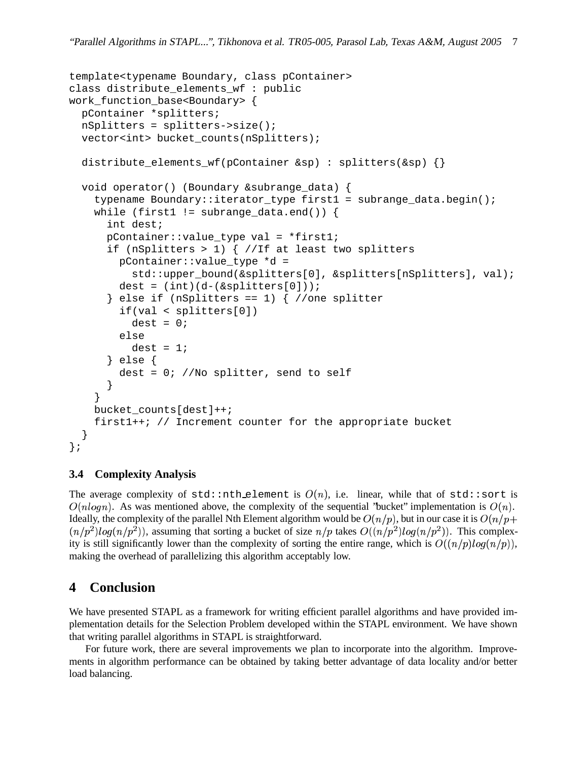```
template<typename Boundary, class pContainer>
class distribute_elements_wf : public
work_function_base<Boundary> {
 pContainer *splitters;
 nSplitters = splitters->size();
 vector<int> bucket_counts(nSplitters);
 distribute_elements_wf(pContainer &sp) : splitters(&sp) {}
 void operator() (Boundary &subrange_data) {
    typename Boundary::iterator_type first1 = subrange_data.begin();
    while (first1 != subrange data.end()) {
      int dest;
      pContainer::value_type val = *first1;
      if (nSplitters > 1) \{ //If at least two splitters
        pContainer::value_type *d =
          std::upper_bound(&splitters[0], &splitters[nSplitters], val);
        dest = (int)(d-(\&splitters[0]));
      } else if (nSplitters == 1) { //one splitterif(val < splitters[0])
          dest = 0;else
         dest = 1;} else {
        dest = 0; //No splitter, send to self
      }
    }
   bucket_counts[dest]++;
    first1++; // Increment counter for the appropriate bucket
  }
};
```
### **3.4 Complexity Analysis**

The average complexity of  $std::nth\_element$  is  $O(n)$ , i.e. linear, while that of  $std::sort$  is  $O(nlog n)$ . As was mentioned above, the complexity of the sequential "bucket" implementation is  $O(n)$ . Ideally, the complexity of the parallel Nth Element algorithm would be  $O(n/p)$ , but in our case it is  $O(n/p+1)$  $(n/p^2)log(n/p^2)$ , assuming that sorting a bucket of size  $n/p$  takes  $O((n/p^2)log(n/p^2))$ . This complexity is still significantly lower than the complexity of sorting the entire range, which is  $O((n/p)log(n/p))$ , making the overhead of parallelizing this algorithm acceptably low.

# **4 Conclusion**

We have presented STAPL as a framework for writing efficient parallel algorithms and have provided implementation details for the Selection Problem developed within the STAPL environment. We have shown that writing parallel algorithms in STAPL is straightforward.

For future work, there are several improvements we plan to incorporate into the algorithm. Improvements in algorithm performance can be obtained by taking better advantage of data locality and/or better load balancing.